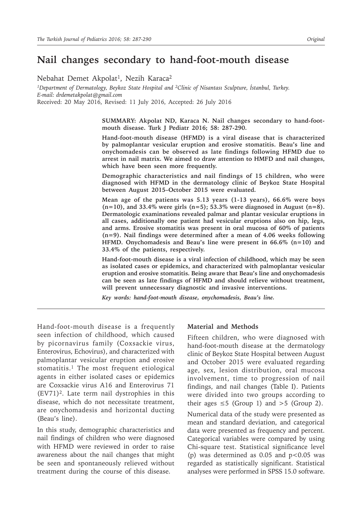# **Nail changes secondary to hand-foot-mouth disease**

Nebahat Demet Akpolat<sup>1</sup>, Nezih Karaca<sup>2</sup>

*<sup>1</sup>Department of Dermatology, Beykoz State Hospital and <sup>2</sup>Clinic of Nisantası Sculpture, İstanbul, Turkey. E-mail: drdemetakpolat@gmail.com* Received: 20 May 2016, Revised: 11 July 2016, Accepted: 26 July 2016

> **SUMMARY: Akpolat ND, Karaca N. Nail changes secondary to hand-footmouth disease. Turk J Pediatr 2016; 58: 287-290.**

> **Hand-foot-mouth disease (HFMD) is a viral disease that is characterized by palmoplantar vesicular eruption and erosive stomatitis. Beau's line and onychomadesis can be observed as late findings following HFMD due to arrest in nail matrix. We aimed to draw attention to HMFD and nail changes, which have been seen more frequently.**

> **Demographic characteristics and nail findings of 15 children, who were diagnosed with HFMD in the dermatology clinic of Beykoz State Hospital between August 2015–October 2015 were evaluated.**

> **Mean age of the patients was 5.13 years (1-13 years), 66.6% were boys (n=10), and 33.4% were girls (n=5); 53.3% were diagnosed in August (n=8). Dermatologic examinations revealed palmar and plantar vesicular eruptions in all cases, additionally one patient had vesicular eruptions also on hip, legs, and arms. Erosive stomatitis was present in oral mucosa of 60% of patients (n=9). Nail findings were determined after a mean of 4.06 weeks following HFMD. Onychomadesis and Beau's line were present in 66.6% (n=10) and 33.4% of the patients, respectively.**

> **Hand-foot-mouth disease is a viral infection of childhood, which may be seen as isolated cases or epidemics, and characterized with palmoplantar vesicular eruption and erosive stomatitis. Being aware that Beau's line and onychomadesis can be seen as late findings of HFMD and should relieve without treatment, will prevent unnecessary diagnostic and invasive interventions.**

*Key words: hand-foot-mouth disease, onychomadesis, Beau's line.*

Hand-foot-mouth disease is a frequently seen infection of childhood, which caused by picornavirus family (Coxsackie virus, Enterovirus, Echovirus), and characterized with palmoplantar vesicular eruption and erosive stomatitis.<sup>1</sup> The most frequent etiological agents in either isolated cases or epidemics are Coxsackie virus A16 and Enterovirus 71 (EV71)<sup>2</sup>. Late term nail dystrophies in this disease, which do not necessitate treatment, are onychomadesis and horizontal ducting (Beau's line).

In this study, demographic characteristics and nail findings of children who were diagnosed with HFMD were reviewed in order to raise awareness about the nail changes that might be seen and spontaneously relieved without treatment during the course of this disease.

### **Material and Methods**

Fifteen children, who were diagnosed with hand-foot-mouth disease at the dermatology clinic of Beykoz State Hospital between August and October 2015 were evaluated regarding age, sex, lesion distribution, oral mucosa involvement, time to progression of nail findings, and nail changes (Table I). Patients were divided into two groups according to their ages  $\leq 5$  (Group 1) and  $>5$  (Group 2). Numerical data of the study were presented as mean and standard deviation, and categorical data were presented as frequency and percent. Categorical variables were compared by using Chi-square test. Statistical significance level (p) was determined as  $0.05$  and  $p < 0.05$  was regarded as statistically significant. Statistical analyses were performed in SPSS 15.0 software.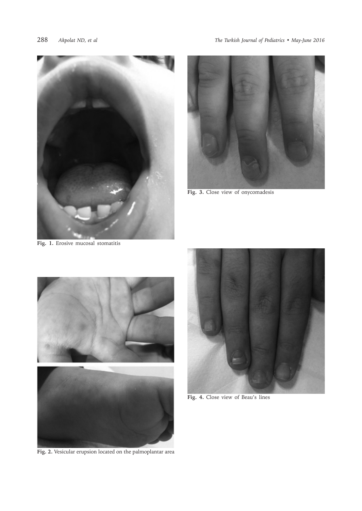

**Fig. 1.** Erosive mucosal stomatitis



**Fig. 3.** Close view of onycomadesis



**Fig. 2.** Vesicular erupsion located on the palmoplantar area



**Fig. 4.** Close view of Beau's lines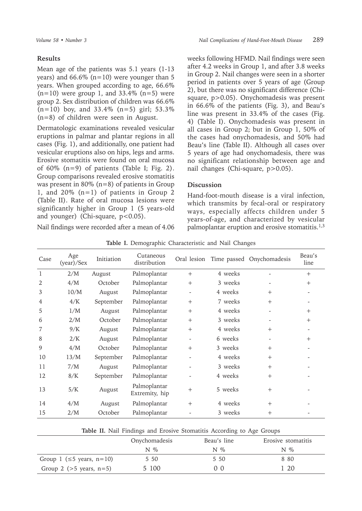## **Results**

Mean age of the patients was 5.1 years (1-13 years) and  $66.6\%$  (n=10) were younger than 5 years. When grouped according to age, 66.6%  $(n=10)$  were group 1, and 33.4%  $(n=5)$  were group 2. Sex distribution of children was 66.6%  $(n=10)$  boy, and 33.4%  $(n=5)$  girl; 53.3% (n=8) of children were seen in August.

Dermatologic examinations revealed vesicular eruptions in palmar and plantar regions in all cases (Fig. 1), and additionally, one patient had vesicular eruptions also on hips, legs and arms. Erosive stomatitis were found on oral mucosa of  $60\%$  (n=9) of patients (Table I; Fig. 2). Group comparisons revealed erosive stomatitis was present in 80% (n=8) of patients in Group 1, and 20% (n=1) of patients in Group 2 (Table II). Rate of oral mucosa lesions were significantly higher in Group 1 (5 years-old and younger) (Chi-square, p<0.05).

Nail findings were recorded after a mean of 4.06

weeks following HFMD. Nail findings were seen after 4.2 weeks in Group 1, and after 3.8 weeks in Group 2. Nail changes were seen in a shorter period in patients over 5 years of age (Group 2), but there was no significant difference (Chisquare, p>0.05). Onychomadesis was present in 66.6% of the patients (Fig. 3), and Beau's line was present in 33.4% of the cases (Fig. 4) (Table I). Onychomadesis was present in all cases in Group 2; but in Group 1, 50% of the cases had onychomadesis, and 50% had Beau's line (Table II). Although all cases over 5 years of age had onychomadesis, there was no significant relationship between age and nail changes (Chi-square, p>0.05).

## **Discussion**

Hand-foot-mouth disease is a viral infection, which transmits by fecal-oral or respiratory ways, especially affects children under 5 years-of-age, and characterized by vesicular palmoplantar eruption and erosive stomatitis.1,3

| Case           | Age<br>(year)/Sex | Initiation | Cutaneous<br>distribution      | Oral lesion |         | Time passed Onychomadesis | Beau's<br>line |
|----------------|-------------------|------------|--------------------------------|-------------|---------|---------------------------|----------------|
| 1              | 2/M               | August     | Palmoplantar                   | $^{+}$      | 4 weeks |                           | $+$            |
| $\overline{2}$ | 4/M               | October    | Palmoplantar                   | $+$         | 3 weeks |                           | $+$            |
| 3              | 10/M              | August     | Palmoplantar                   |             | 4 weeks | $+$                       |                |
| 4              | 4/K               | September  | Palmoplantar                   | $^{+}$      | 7 weeks | $+$                       |                |
| 5              | 1/M               | August     | Palmoplantar                   | $^{+}$      | 4 weeks |                           | $+$            |
| 6              | 2/M               | October    | Palmoplantar                   | $^{+}$      | 3 weeks |                           | $+$            |
|                | 9/K               | August     | Palmoplantar                   | $^{+}$      | 4 weeks | $+$                       |                |
| 8              | 2/K               | August     | Palmoplantar                   |             | 6 weeks |                           | $+$            |
| 9              | 4/M               | October    | Palmoplantar                   | $^{+}$      | 3 weeks | $+$                       |                |
| 10             | 13/M              | September  | Palmoplantar                   |             | 4 weeks | $+$                       |                |
| 11             | 7/M               | August     | Palmoplantar                   |             | 3 weeks | $+$                       |                |
| 12             | 8/K               | September  | Palmoplantar                   |             | 4 weeks | $+$                       |                |
| 13             | 5/K               | August     | Palmoplantar<br>Extremity, hip | $+$         | 5 weeks | $+$                       |                |
| 14             | 4/M               | August     | Palmoplantar                   | $^{+}$      | 4 weeks | $+$                       |                |
| 15             | 2/M               | October    | Palmoplantar                   |             | 3 weeks | $^{+}$                    |                |

**Table I.** Demographic Characteristic and Nail Changes

| Table II. Nail Findings and Erosive Stomatitis According to Age Groups |  |
|------------------------------------------------------------------------|--|
|------------------------------------------------------------------------|--|

|                                 | Onychomadesis | Beau's line  | Erosive stomatitis |
|---------------------------------|---------------|--------------|--------------------|
|                                 | $N_{\infty}$  | $N_{\infty}$ | $N_{\infty}$       |
| Group 1 ( $\leq$ 5 years, n=10) | 5 50          | 5 50         | 8 80               |
| Group 2 ( $>5$ years, $n=5$ )   | 5 100         | (1)          | - 20               |